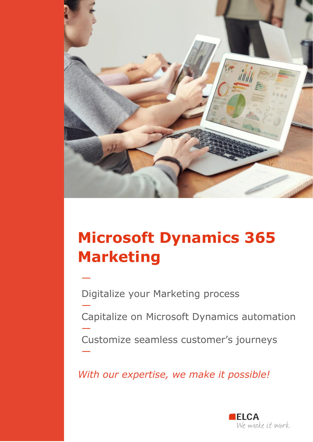

# **Microsoft Dynamics 365 Marketing**

Digitalize your Marketing process

—

—

—

—

Capitalize on Microsoft Dynamics automation

Customize seamless customer's journeys

*With our expertise, we make it possible!*

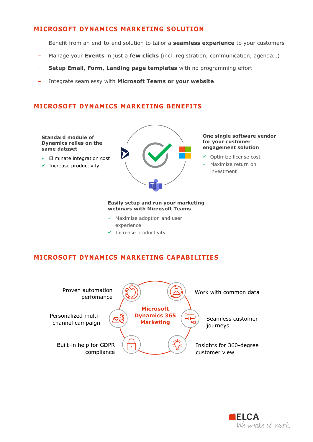## **MICROSOFT DYNAMICS MARKETING SOLUTION**

- − Benefit from an end-to-end solution to tailor a **seamless experience** to your customers
- − Manage your **Events** in just a **few clicks** (incl. registration, communication, agenda…)
- − **Setup Email, Form, Landing page templates** with no programming effort
- − Integrate seamlessy with **Microsoft Teams or your website**

## **MICROSOFT DYNAMICS MARKETING BENEFITS**

#### **Standard module of Dynamics relies on the same dataset**

- ✓ Eliminate integration cost
- $\checkmark$  Increase productivity



#### **One single software vendor for your customer engagement solution**

- ✓ Optimize license cost
- ✓ Maximize return on investment

#### **Easily setup and run your marketing webinars with Microsoft Teams**

- ✓ Maximize adoption and user experience
- ✓ Increase productivity

## **MICROSOFT DYNAMICS MARKETING CAPABILITIES**



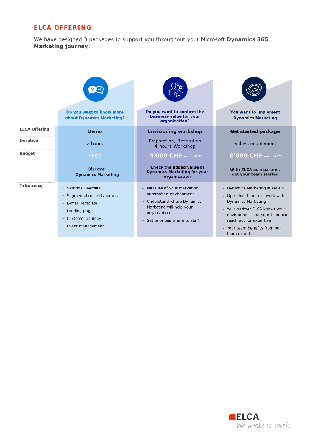## **ELCA OFFERING**

We have designed 3 packages to support you throughout your Microsoft **Dynamics 365 Marketing journey:**

|                      | Do you want to know more<br>about Dynamics Marketing?                                                                                                                          | Do you want to confirm the<br>business value for your<br>organization?                                                                                                                             | You want to implement<br><b>Dynamics Marketing</b>                                                                                                                                                                                                                            |
|----------------------|--------------------------------------------------------------------------------------------------------------------------------------------------------------------------------|----------------------------------------------------------------------------------------------------------------------------------------------------------------------------------------------------|-------------------------------------------------------------------------------------------------------------------------------------------------------------------------------------------------------------------------------------------------------------------------------|
| <b>ELCA Offering</b> | Demo                                                                                                                                                                           | <b>Envisioning workshop</b>                                                                                                                                                                        | <b>Get started package</b>                                                                                                                                                                                                                                                    |
| <b>Duration</b>      | 2 hours                                                                                                                                                                        | Preparation, Restitution<br>4-hours Workshop                                                                                                                                                       | 5 days enablement                                                                                                                                                                                                                                                             |
| <b>Budget</b>        | Free                                                                                                                                                                           | 4'000 CHF excl. VAT                                                                                                                                                                                | <b>8'000 CHF excl. VAT</b>                                                                                                                                                                                                                                                    |
|                      | <b>Discover</b><br><b>Dynamics Marketing</b>                                                                                                                                   | Check the added value of<br><b>Dynamics Marketing for your</b><br>organization                                                                                                                     | With ELCA as a partner,<br>get your team started                                                                                                                                                                                                                              |
| <b>Take away</b>     | ✓ Settings Overview<br>$\checkmark$ Segmentation in Dynamics<br>$\sqrt{2}$ E-mail Template<br>$\checkmark$ Landing page<br>✓ Customer Journey<br>$\checkmark$ Event management | $\sqrt{ }$ Measure of your marketing<br>automation environment<br>$\checkmark$ Understand where Dynamics<br>Marketing will help your<br>organization<br>$\checkmark$ Set priorities where to start | $\sqrt{ }$ Dynamics Marketing is set-up<br>$\checkmark$ Operative team can work with<br><b>Dynamics Marketing</b><br>√ Your partner ELCA knows your<br>environment and your team can<br>reach out for expertise<br>$\checkmark$ Your team benefits from our<br>team expertise |